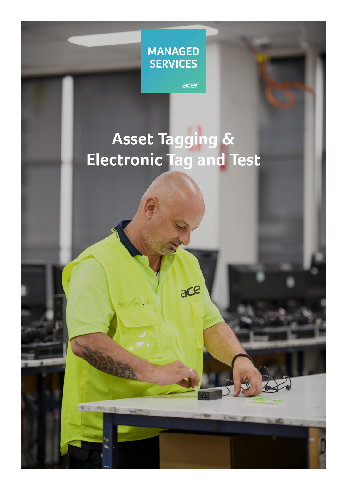

acer

 $ac$ e

PIVOTIL POINT.HR

**47 POLS** 

**Asset Tagging & Electronic Tag and Test**

**1**